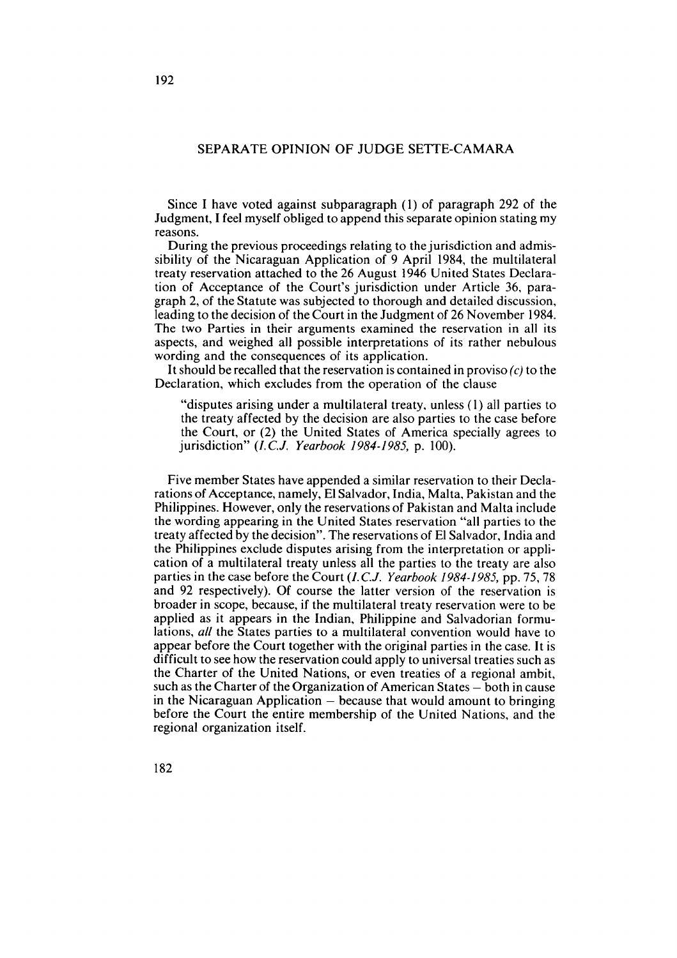# SEPARATE OPINION OF JUDGE SETTE-CAMARA

Since 1 have voted against subparagraph (1) of paragraph 292 of the Judgment, 1 feel myself obliged to append this separate opinion stating my reasons.

During the previous proceedings relating to the jurisdiction and admissibility of the Nicaraguan Application of 9 April 1984, the multilateral treaty reservation attached to the 26 August 1946 United States Declaration of Acceptance of the Court's jurisdiction under Article 36, paragraph 2, of the Statute was subjected to thorough and detailed discussion, leading to the decision of the Court in the Judgment of 26 November 1984. The two Parties in their arguments examined the reservation in al1 its aspects, and weighed al1 possible interpretations of its rather nebulous wording and the consequences of its application.

It should be recalled that the reservation is contained in proviso  $(c)$  to the Declaration, which excludes from the operation of the clause

"disputes arising under a multilateral treaty, unless (1) al1 parties to the treaty affected by the decision are also parties to the case before the Court, or (2) the United States of America specially agrees to jurisdiction" (*I.C.J. Yearbook 1984-1985*, p. 100).

Five member States have appended a similar reservation to their Declarations of Acceptance, namely, El Salvador, India, Malta, Pakistan and the Philippines. However, only the reservations of Pakistan and Malta include the wording appearing in the United States reservation "al1 parties to the treaty affected by the decision". The reservations of El Salvador, India and the Philippines exclude disputes arising from the interpretation or application of a multilateral treaty unless al1 the parties to the treaty are also parties in the case before the Court (I. C.J. *Yearbook* 1984-1985, pp. 75,78 and 92 respectively). Of course the latter version of the reservation is broader in scope, because, if the multilateral treaty reservation were to be applied as it appears in the Indian, Philippine and Salvadorian formulations, *al1* the States parties to a multilateral convention would have to appear before the Court together with the original parties in the case. It is difficult to see how the reservation could apply to universal treaties such as the Charter of the United Nations, or even treaties of a regional ambit, such as the Charter of the Organization of American States  $-$  both in cause in the Nicaraguan Application  $-$  because that would amount to bringing before the Court the entire membership of the United Nations, and the regional organization itself.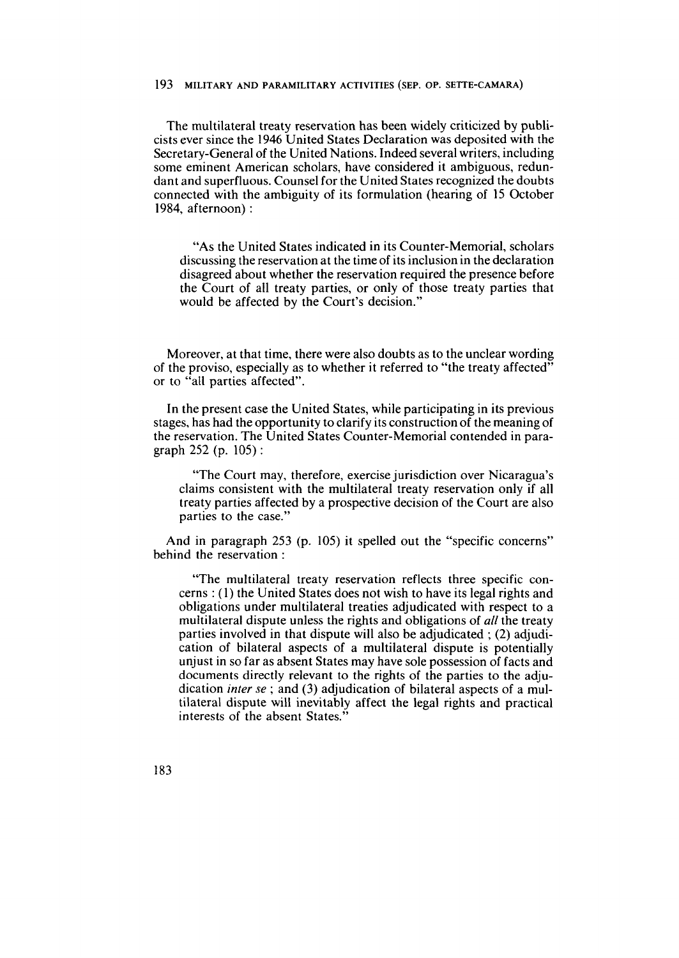The multilateral treaty reservation has been widely criticized by publicists ever since the 1946 United States Declaration was deposited with the Secretary-General of the United Nations. Indeed several writers, including some eminent American scholars, have considered it ambiguous, redundant and superfluous. Counsel for the United States recognized the doubts connected with the ambiguity of its formulation (hearing of 15 October 1984, afternoon) :

"As the United States indicated in its Counter-Memorial, scholars discussing the reservation at the time of its inclusion in the declaration disagreed about whether the reservation required the presence before the Court of al1 treaty parties, or only of those treaty parties that would be affected by the Court's decision."

Moreover, at that time, there were also doubts as to the unclear wording of the proviso, especially as to whether it referred to "the treaty affected" or to "al1 parties affected".

In the present case the United States, while participating in its previous stages, has had the opportunity to clarify its construction of the meaning of the reservation. The United States Counter-Memorial contended in paragraph 252 (p. 105) :

"The Court may, therefore, exercise jurisdiction over Nicaragua's claims consistent with the multilateral treaty reservation only if al1 treaty parties affected by a prospective decision of the Court are also parties to the case."

And in paragraph 253 (p. 105) it spelled out the "specific concerns" behind the reservation :

"The multilateral treaty reservation reflects three specific concerns : (1) the United States does not wish to have its legal rights and obligations under multilateral treaties adjudicated with respect to a multilateral dispute unless the rights and obligations of **al1** the treaty parties involved in that dispute will also be adjudicated ; (2) adjudication of bilateral aspects of a multilateral dispute is potentially unjust in so far as absent States may have sole possession of facts and documents directly relevant to the rights of the parties to the adjudication inter se ; and **(3)** adjudication of bilateral aspects of a multilateral dispute will inevitably affect the legal rights and practical interests of the absent States."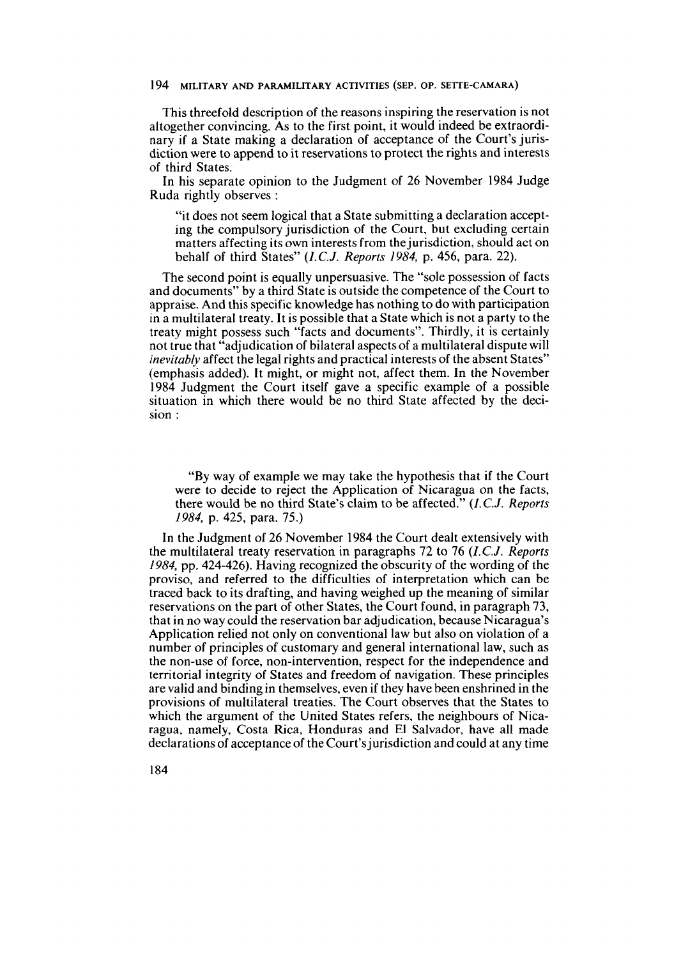This threefold description of the reasons inspiring the reservation is not altogether convincing. As to the first point, it would indeed be extraordinary if a State making a declaration of acceptance of the Court's jurisdiction were to append to it reservations to protect the rights and interests of third States.

In his separate opinion to the Judgment of 26 November 1984 Judge Ruda rightly observes :

"it does not seem logical that a State submitting a declaration accepting the compulsory jurisdiction of the Court, but excluding certain matters affecting its own interests from thejurisdiction, should act on behalf of third States" *(I.C.J. Reports* 1984, p. 456, para. 22).

The second point is equally unpersuasive. The "sole possession of facts and documents" by a third State is outside the competence of the Court to appraise. And this specific knowledge has nothing to do with participation in a multilateral treaty. It is possible that a State which is not a party to the treaty might possess such "facts and documents". Thirdly, it is certainly not true that "adjudication of bilateral aspects of a multilateral dispute will inevitably affect the legal rights and practical interests of the absent States" (emphasis added). It might, or rnight not, affect them. In the November 1984 Judgment the Court itself gave a specific example of a possible situation in which there would be no third State affected by the decision :

"By way of example we may take the hypothesis that if the Court were to decide to reject the Application of Nicaragua on the facts, there would be no third State's claim to be affected." *(I.C.J. Reports*  1984, p. 425, para. 75.)

In the Judgment of 26 November 1984 the Court dealt extensively with the multilateral treaty reservation in paragraphs 72 to 76 *(I.C.J. Reports*  1984, pp. 424-426). Having recognized the obscurity of the wording of the proviso, and referred to the difficulties of interpretation which can be traced back to its drafting, and having weighed up the meaning of similar reservations on the part of other States, the Court found, in paragraph **73,**  that in no way could the reservation bar adjudication, because Nicaragua's Application relied not only on conventional law but also on violation of a number of principles of customary and general international law, such as the non-use of force, non-intervention, respect for the independence and territorial integrity of States and freedom of navigation. These principles are valid and binding in themselves, even if they have been enshrined in the provisions of multilateral treaties. The Court observes that the States to which the argument of the United States refers, the neighbours of Nicaragua, namely, Costa Rica, Honduras and El Salvador, have al1 made declarations of acceptance of the Court's jurisdiction and could at any time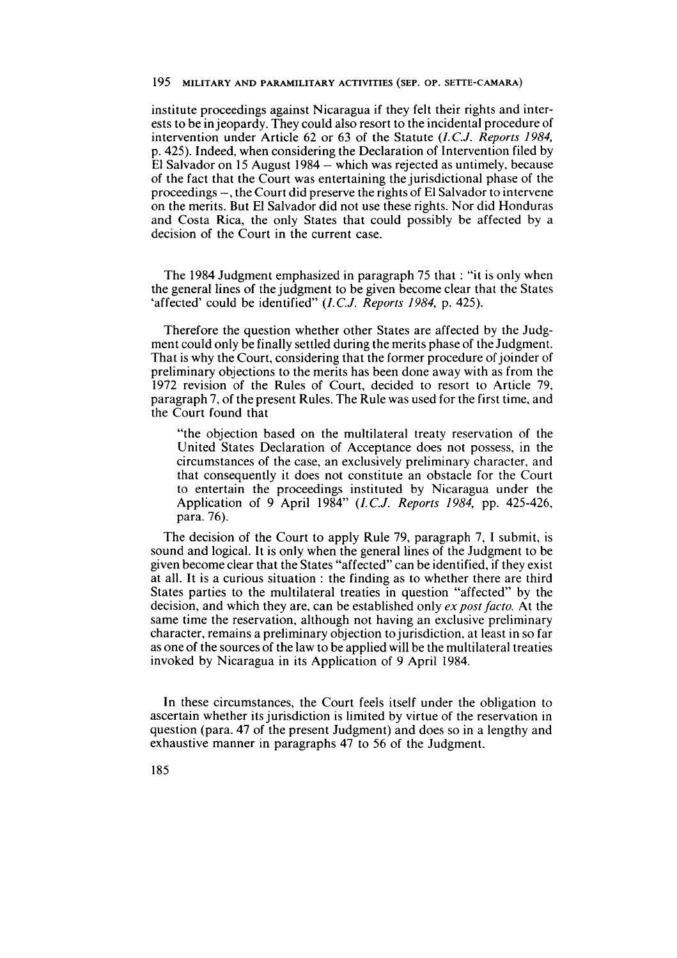institute proceedings against Nicaragua if they felt their rights and interests to be in jeopardy. They could also resort to the incidental procedure of intervention under Article 62 or 63 of the Statute *(I.C.J. Reports* 1984, p. 425). Indeed, when considering the Declaration of Intervention filed by El Salvador on 15 August 1984 – which was rejected as untimely, because of the fact that the Court was entertaining the jurisdictional phase of the proceedings -, the Court did preserve the rights of El Salvador to intervene on the merits. But El Salvador did not use these rights. Nor did Honduras and Costa Rica, the only States that could possibly be affected by a decision of the Court in the current case.

The 1984 Judgment emphasized in paragraph 75 that : "it is only when the general lines of the judgment to be given become clear that the States 'affected' could be identified" *(I.C.J. Reports* 1984, p. 425).

Therefore the question whether other States are affected by the Judgment could only be finally settled during the merits phase of the Judgment. That is why the Court, considering that the former procedure of joinder of preliminary objections to the merits has been done away with as from the 1972 revision of the Rules of Court, decided to resort to Article 79, paragraph 7, of the present Rules. The Rule was used for the first time, and the Court found that

"the objection based on the multilateral treaty reservation of the United States Declaration of Acceptance does not possess, in the circumstances of the case, an exclusively preliminary character, and that consequently it does not constitute an obstacle for the Court to entertain the proceedings instituted by Nicaragua under the Application of 9 April 1984" *(I.C.J. Reports* 1984, pp. 425-426, para. 76).

The decision of the Court to apply Rule 79, paragraph 7, **1** submit, is sound and logical. It is only when the general lines of the Judgment to be given become clear that the States "affected" can be identified, if they exist at all. It is a curious situation : the finding as to whether there are third States parties to the multilateral treaties in question "affected" by the decision, and which they are, can be established only *expostfacto.* At the same time the reservation, although not having an exclusive preliminary character, remains a preliminary objection to jurisdiction. at least in so far as one of the sources of the law to be applied will be the multilateral treaties invoked by Nicaragua in its Application of 9 April 1984.

In these circumstances, the Court feels itself under the obligation to ascertain whether its jurisdiction is limited by virtue of the reservation in question (para. 47 of the present Judgment) and does so in a lengthy and exhaustive manner in paragraphs 47 to 56 of the Judgment.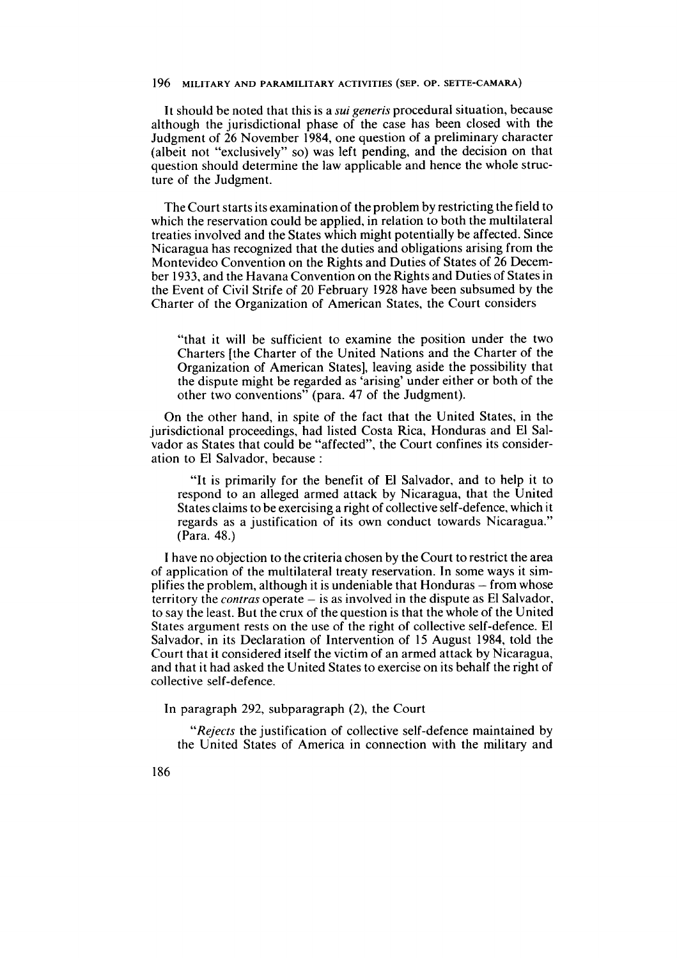It should be noted that this is a *sui generis* procedural situation, because although the jurisdictional phase of the case has been closed with the Judgment of 26 November 1984, one question of a preliminary character (albeit not "exclusively" so) was left pending, and the decision on that question should determine the law applicable and hence the whole structure of the Judgment.

The Court starts its examination of the problem by restricting the field to which the reservation could be applied, in relation to both the multilateral treaties involved and the States which might potentially be affected. Since Nicaragua has recognized that the duties and obligations arising from the Montevideo Convention on the Rights and Duties of States of 26 December 1933, and the Havana Convention on the Rights and Duties of States in the Event of Civil Strife of 20 February 1928 have been subsumed by the Charter of the Organization of American States, the Court considers

"that it will be sufficient to examine the position under the two Charters [the Charter of the United Nations and the Charter of the Organization of American States], leaving aside the possibility that the dispute might be regarded as 'arising' under either or both of the other two conventions" (para. 47 of the Judgment).

On the other hand, in spite of the fact that the United States, in the jurisdictional proceedings, had listed Costa Rica, Honduras and El Salvador as States that could be "affected", the Court confines its consideration to El Salvador, because :

"It is primarily for the benefit of El Salvador, and to help it to respond to an alleged armed attack by Nicaragua, that the United States claims to be exercising a right of collective self-defence, which it regards as a justification of its own conduct towards Nicaragua." (Para. 48.)

**1** have no objection to the criteria chosen by the Court to restrict the area of application of the multilateral treaty reservation. In some ways it simplifies the problem, although it is undeniable that  $H$ onduras  $-$  from whose territory the *contras* operate - is as involved in the dispute as El Salvador, to say the least. But the crux of the question is that the whoie of the United States argument rests on the use of the right of collective self-defence. El Salvador, in its Declaration of Intervention of 15 August 1984, told the Court that it considered itself the victim of an armed attack by Nicaragua, and that it had asked the United States to exercise on its behalf the right of collective self-defence.

In paragraph 292, subparagraph (2), the Court

*"Rejects* the justification of collective self-defence maintained by the United States of America in connection with the military and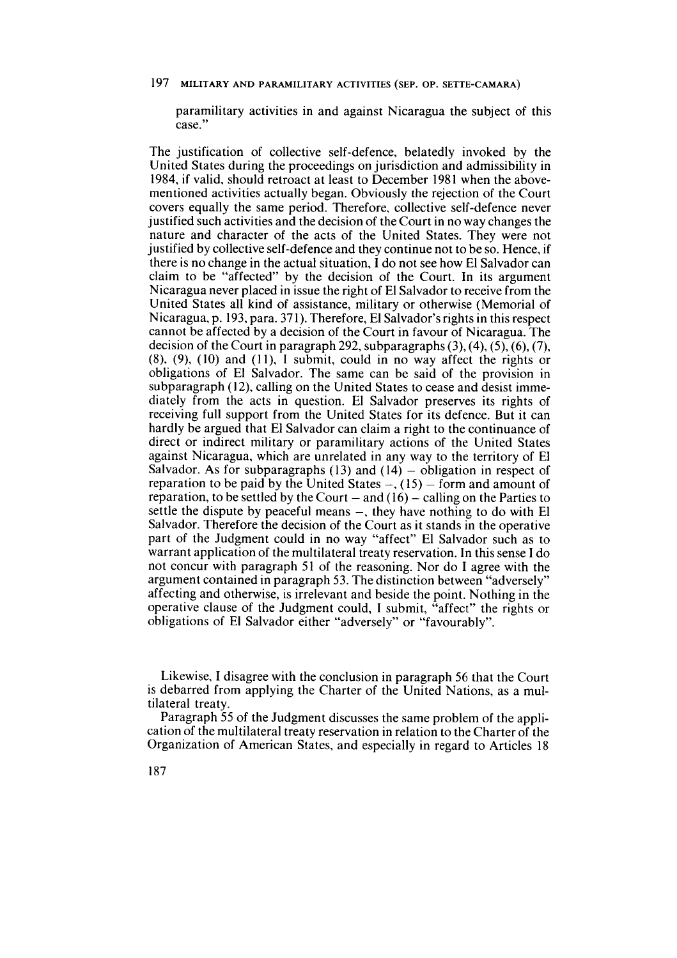paramilitary activities in and against Nicaragua the subject of this case."

The justification of collective self-defence, belatedly invoked by the United States during the proceedings on jurisdiction and admissibility in 1984, if valid. should retroact at least to December 1981 when the abovementioned activities actually began. Obviously the rejection of the Court covers equally the same period. Therefore, collective self-defence never justified such activities and the decision of the Court in no way changes the nature and character of the acts of the United States. They were not justified by collective self-defence and they continue not to be so. Hence, if there is no change in the actual situation, 1 do not see how El Salvador can claim to be "affected" by the decision of the Court. In its argument Nicaragua never placed in issue the right of El Salvador to receive from the United States al1 kind of assistance, military or otherwise (Memorial of Nicaragua, p. 193, para. 37 1). Therefore, El Salvador's rights in this respect cannot be affected by a decision of the Court in favour of Nicaragua. The decision of the Court in paragraph 292, subparagraphs **(3),** (4), (5), **(6),** (7),  $(8)$ ,  $(9)$ ,  $(10)$  and  $(11)$ , I submit, could in no way affect the rights or obligations of El Salvador. The same can be said of the provision in subparagraph (12), calling on the United States to cease and desist immediately from the acts in question. El Salvador preserves its rights of receiving full support from the United States for its defence. But it can hardly be argued that El Salvador can claim a right to the continuance of direct or indirect military or paramilitary actions of the United States against Nicaragua, which are unrelated in any way to the territory of El Salvador. As for subparagraphs  $(13)$  and  $(14)$  – obligation in respect of reparation to be paid by the United States  $-$ , (15) - form and amount of reparation, to be settled by the Court  $-$  and (16)  $-$  calling on the Parties to settle the dispute by peaceful means  $-$ , they have nothing to do with El Salvador. Therefore the decision of the Court as it stands in the operative part of the Judgment could in no way "affect" El Salvador such as to warrant application of the multilateral treaty reservation. In this sense **1** do not concur with paragraph 51 of the reasoning. Nor do **1** agree with the argument contained in paragraph 53. The distinction between "adversely" affecting and otherwise, is irrelevant and beside the point. Nothing in the operative clause of the Judgment could, 1 submit, "affect" the rights or obligations of El Salvador either "adversely" or "favourably".

Likewise, **1** disagree with the conclusion in paragraph 56 that the Court is debarred from applying the Charter of the United Nations, as a multilateral treaty.

Paragraph 55 of the Judgment discusses the same problem of the application of the multilateral treaty reservation in relation to the Charter of the Organization of American States, and especially in regard to Articles 18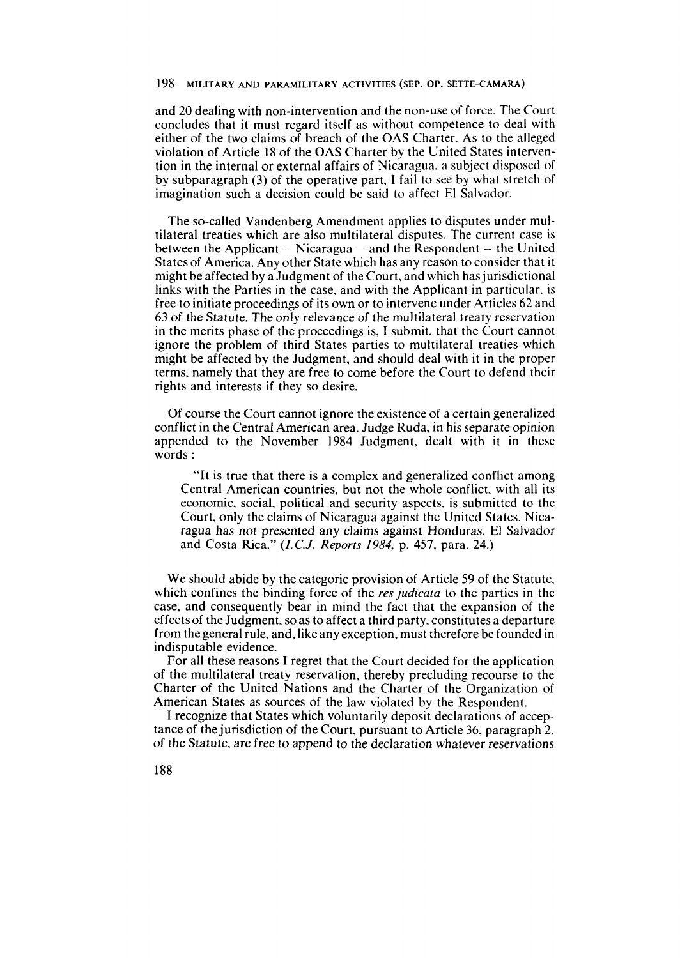and 20 dealing with non-intervention and the non-use of force. The Court concludes that it rnust regard itself as without cornpetence to deal with either of the two claims of breach of the OAS Charter. As to the alleged violation of Article 18 of the OAS Charter by the United States intervention in the interna1 or external affairs of Nicaragua, a subject disposed of by subparagraph (3) of the operative part, **1** fail to see by what stretch of imagination such a decision could be said to affect El Salvador.

The so-called Vandenberg Amendment applies to disputes under multilateral treaties which are also multilateral disputes. The current case is between the Applicant  $-$  Nicaragua  $-$  and the Respondent  $-$  the United States of America. Any other State which has any reason to consider that it might be affected by a Judgment of the Court, and which has jurisdictional links with the Parties in the case, and with the Applicant in particular, is free to initiate proceedings of its own or to intervene under Articles 62 and 63 of the Statute. The only relevance of the multilateral treaty reservation in the rnerits phase of the proceedings is, **1** subrnit, that the Court cannot ignore the problern of third States parties to multilateral treaties which might be affected by the Judgment, and should deal with it in the proper terrns, narnely that they are free to corne before the Court to defend their rights and interests if they so desire.

Of course the Court cannot ignore the existence of a certain generalized conflict in the Central American area. Judge Ruda, in his separate opinion appended to the Novernber 1984 Judgment, dealt with it in these words :

"It is true that there is a cornplex and generalized conflict arnong Central American countries, but not the whole conflict, with al1 its economic, social, political and security aspects, is subrnitted to the Court, only the claims of Nicaragua against the United States. Nicaragua has not presented any claims against Honduras, El Salvador and Costa Rica." *(I.C.J. Reports* 1984, p. 457, para. 24.)

We should abide by the categoric provision of Article 59 of the Statute, which confines the binding force of the *res* judicata to the parties in the case, and consequently bear in mind the fact that the expansion of the effects of the Judgment, so as to affect a third party, constitutes a departure from the general rule, and, like any exception, must therefore be founded in indisputable evidence.

For al1 these reasons 1 regret that the Court decided for the application of the multilateral treaty reservation, thereby precluding recourse to the Charter of the United Nations and the Charter of the Organization of Arnerican States as sources of the law violated by the Respondent.

1 recognize that States which voluntarily deposit declarations of acceptance of the jurisdiction of the Court, pursuant to Article 36, paragraph 2, of the Statute, are free to append to the declaration whatever reservations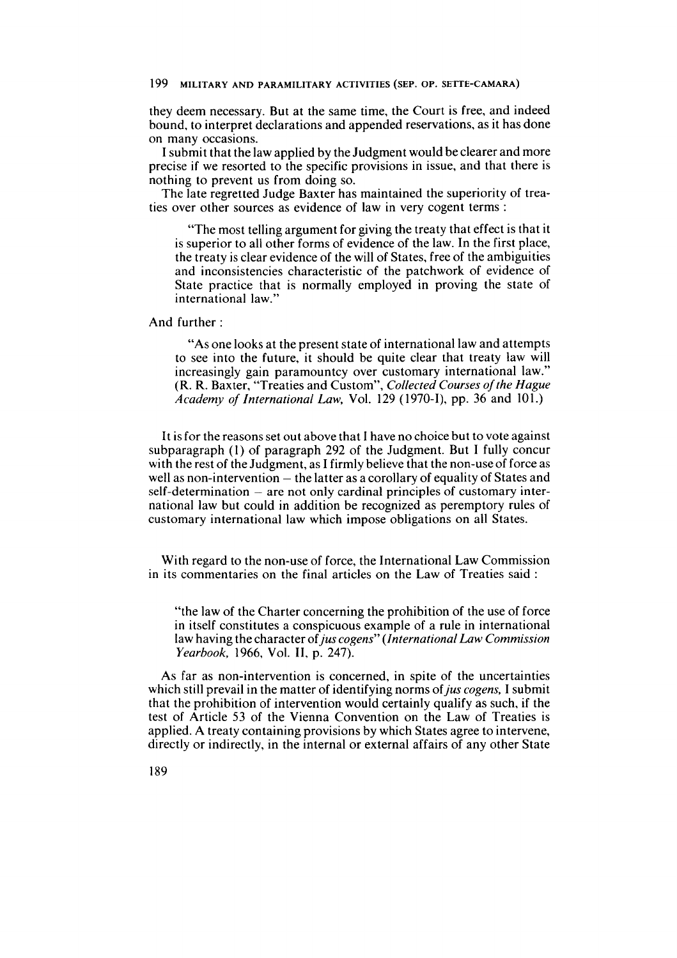they deem necessary. But at the same time, the Court is free, and indeed bound, to interpret declarations and appended reservations, as it has done on many occasions.

**<sup>1</sup>**submit that the law applied by the Judgment would be clearer and more precise if we resorted to the specific provisions in issue, and that there is nothing to prevent us from doing so.

The late regretted Judge Baxter has maintained the superiority of treaties over other sources as evidence of law in very cogent terms :

"The most telling argument for giving the treaty that effect is that it is superior to al1 other forms of evidence of the law. In the first place, the treaty is clear evidence of the will of States, free of the ambiguities and inconsistencies characteristic of the patchwork of evidence of State practice that is normally employed in proving the state of international law."

And further :

"As one looks at the present state of international law and attempts to see into the future, it should be quite clear that treaty law will increasingly gain paramountcy over customary international law." (R. R. Baxter, "Treaties and Custom", *Collected Courses of the Hague Academy of International Law,* Vol. 129 (1970-1), pp. 36 and 101.)

It is for the reasons set out above that I have no choice but to vote against subparagraph (1) of paragraph 292 of the Judgment. But I fully concur with the rest of the Judgment, as 1 firmly believe that the non-use of force as well as non-intervention  $-$  the latter as a corollary of equality of States and  $self-determination - are not only cardinal principles of customary inter$ national law but could in addition be recognized as peremptory rules of customary international law which impose obligations on al1 States.

With regard to the non-use of force, the International Law Commission in its commentaries on the final articles on the Law of Treaties said :

"the law of the Charter concerning the prohibition of the use of force in itself constitutes a conspicuous example of a rule in international law having the character of *jus cogens" (International Law Commission Yearbook,* 1966, Vol. II, p. 247).

As far as non-intervention is concerned, in spite of the uncertainties which still prevail in the matter of identifying norms of *jus cogens,* I submit that the prohibition of intervention would certainly qualify as such, if the test of Article 53 of the Vienna Convention on the Law of Treaties is applied. A treaty containing provisions by which States agree to intervene, directly or indirectly, in the interna1 or external affairs of any other State